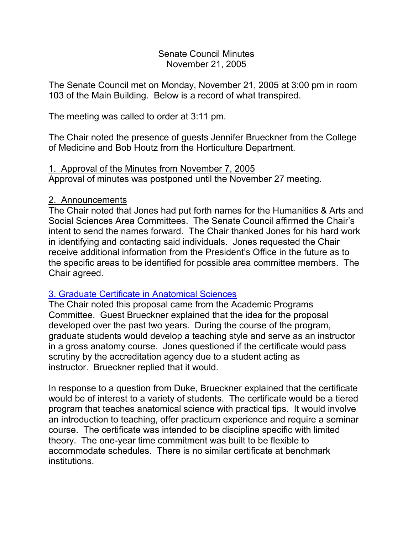#### Senate Council Minutes November 21, 2005

The Senate Council met on Monday, November 21, 2005 at 3:00 pm in room 103 of the Main Building. Below is a record of what transpired.

The meeting was called to order at 3:11 pm.

The Chair noted the presence of guests Jennifer Brueckner from the College of Medicine and Bob Houtz from the Horticulture Department.

# 1. Approval of the Minutes from November 7, 2005

Approval of minutes was postponed until the November 27 meeting.

### 2. Announcements

The Chair noted that Jones had put forth names for the Humanities & Arts and Social Sciences Area Committees. The Senate Council affirmed the Chair's intent to send the names forward. The Chair thanked Jones for his hard work in identifying and contacting said individuals. Jones requested the Chair receive additional information from the President's Office in the future as to the specific areas to be identified for possible area committee members. The Chair agreed.

### [3. Graduate Certificate in Anatomical Sciences](http://www.uky.edu/USC/New/Comms/Programs/New%20Graduate%20Certificate%20in%20Anatomical%20Sciences.pdf)

The Chair noted this proposal came from the Academic Programs Committee. Guest Brueckner explained that the idea for the proposal developed over the past two years. During the course of the program, graduate students would develop a teaching style and serve as an instructor in a gross anatomy course. Jones questioned if the certificate would pass scrutiny by the accreditation agency due to a student acting as instructor. Brueckner replied that it would.

In response to a question from Duke, Brueckner explained that the certificate would be of interest to a variety of students. The certificate would be a tiered program that teaches anatomical science with practical tips. It would involve an introduction to teaching, offer practicum experience and require a seminar course. The certificate was intended to be discipline specific with limited theory. The one-year time commitment was built to be flexible to accommodate schedules. There is no similar certificate at benchmark institutions.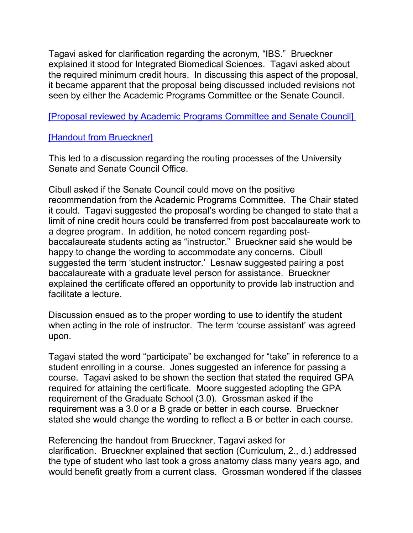Tagavi asked for clarification regarding the acronym, "IBS." Brueckner explained it stood for Integrated Biomedical Sciences. Tagavi asked about the required minimum credit hours. In discussing this aspect of the proposal, it became apparent that the proposal being discussed included revisions not seen by either the Academic Programs Committee or the Senate Council.

[\[Proposal reviewed by Academic Programs Committee and Senate Council\]](http://www.uky.edu/USC/New/Comms/Programs/New%20Graduate%20Certificate%20in%20Anatomical%20Sciences.pdf)

# [\[Handout from Brueckner\]](http://www.uky.edu/USC/New/SCAgendas/20051121/Grad%20Cert%20Anat%20Sci%20Instruction.pdf)

This led to a discussion regarding the routing processes of the University Senate and Senate Council Office.

Cibull asked if the Senate Council could move on the positive recommendation from the Academic Programs Committee. The Chair stated it could. Tagavi suggested the proposal's wording be changed to state that a limit of nine credit hours could be transferred from post baccalaureate work to a degree program. In addition, he noted concern regarding postbaccalaureate students acting as "instructor." Brueckner said she would be happy to change the wording to accommodate any concerns. Cibull suggested the term 'student instructor.' Lesnaw suggested pairing a post baccalaureate with a graduate level person for assistance. Brueckner explained the certificate offered an opportunity to provide lab instruction and facilitate a lecture.

Discussion ensued as to the proper wording to use to identify the student when acting in the role of instructor. The term 'course assistant' was agreed upon.

Tagavi stated the word "participate" be exchanged for "take" in reference to a student enrolling in a course. Jones suggested an inference for passing a course. Tagavi asked to be shown the section that stated the required GPA required for attaining the certificate. Moore suggested adopting the GPA requirement of the Graduate School (3.0). Grossman asked if the requirement was a 3.0 or a B grade or better in each course. Brueckner stated she would change the wording to reflect a B or better in each course.

Referencing the handout from Brueckner, Tagavi asked for clarification. Brueckner explained that section (Curriculum, 2., d.) addressed the type of student who last took a gross anatomy class many years ago, and would benefit greatly from a current class. Grossman wondered if the classes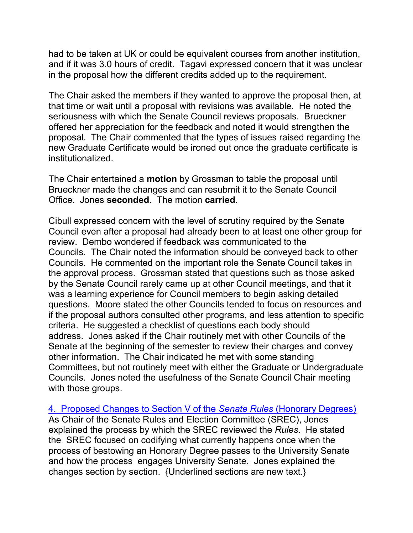had to be taken at UK or could be equivalent courses from another institution, and if it was 3.0 hours of credit. Tagavi expressed concern that it was unclear in the proposal how the different credits added up to the requirement.

The Chair asked the members if they wanted to approve the proposal then, at that time or wait until a proposal with revisions was available. He noted the seriousness with which the Senate Council reviews proposals. Brueckner offered her appreciation for the feedback and noted it would strengthen the proposal. The Chair commented that the types of issues raised regarding the new Graduate Certificate would be ironed out once the graduate certificate is institutionalized.

The Chair entertained a **motion** by Grossman to table the proposal until Brueckner made the changes and can resubmit it to the Senate Council Office. Jones **seconded**. The motion **carried**.

Cibull expressed concern with the level of scrutiny required by the Senate Council even after a proposal had already been to at least one other group for review. Dembo wondered if feedback was communicated to the Councils. The Chair noted the information should be conveyed back to other Councils. He commented on the important role the Senate Council takes in the approval process. Grossman stated that questions such as those asked by the Senate Council rarely came up at other Council meetings, and that it was a learning experience for Council members to begin asking detailed questions. Moore stated the other Councils tended to focus on resources and if the proposal authors consulted other programs, and less attention to specific criteria. He suggested a checklist of questions each body should address. Jones asked if the Chair routinely met with other Councils of the Senate at the beginning of the semester to review their charges and convey other information. The Chair indicated he met with some standing Committees, but not routinely meet with either the Graduate or Undergraduate Councils. Jones noted the usefulness of the Senate Council Chair meeting with those groups.

4. [Proposed Changes to Section V of the](file://nemo.ad.uky.edu/senate/Senate%20Council/US%20Committees/US%20Comtes%202005-2006/Rules%20and%20Elections%20Committee/Section%20V%20DRAFT%20for%20Honorary%20Degrees%20Nov%204%202005.doc) *Senate Rules* (Honorary Degrees) As Chair of the Senate Rules and Election Committee (SREC), Jones explained the process by which the SREC reviewed the *Rules*. He stated the SREC focused on codifying what currently happens once when the process of bestowing an Honorary Degree passes to the University Senate and how the process engages University Senate. Jones explained the changes section by section. {Underlined sections are new text.}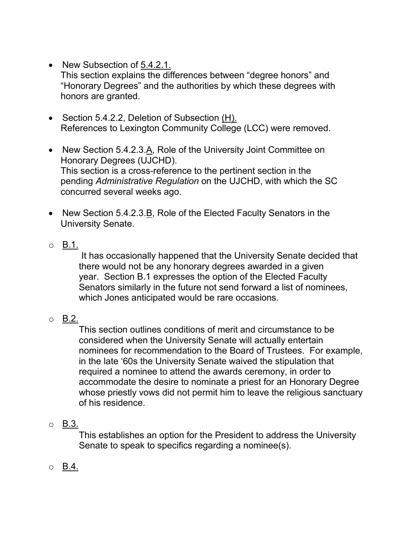- New Subsection of 5.4.2.1. This section explains the differences between "degree honors" and "Honorary Degrees" and the authorities by which these degrees with honors are granted.
- Section 5.4.2.2, Deletion of Subsection (H). References to Lexington Community College (LCC) were removed.
- New Section 5.4.2.3.A, Role of the University Joint Committee on Honorary Degrees (UJCHD). This section is a cross-reference to the pertinent section in the pending *Administrative Regulation* on the UJCHD, with which the SC concurred several weeks ago.
- New Section 5.4.2.3.B, Role of the Elected Faculty Senators in the University Senate.
- $\circ$  B.1.

It has occasionally happened that the University Senate decided that there would not be any honorary degrees awarded in a given year. Section B.1 expresses the option of the Elected Faculty Senators similarly in the future not send forward a list of nominees, which Jones anticipated would be rare occasions.

 $\circ$  B.2.

This section outlines conditions of merit and circumstance to be considered when the University Senate will actually entertain nominees for recommendation to the Board of Trustees. For example, in the late '60s the University Senate waived the stipulation that required a nominee to attend the awards ceremony, in order to accommodate the desire to nominate a priest for an Honorary Degree whose priestly vows did not permit him to leave the religious sanctuary of his residence.

o B.3.

This establishes an option for the President to address the University Senate to speak to specifics regarding a nominee(s).

o B.4.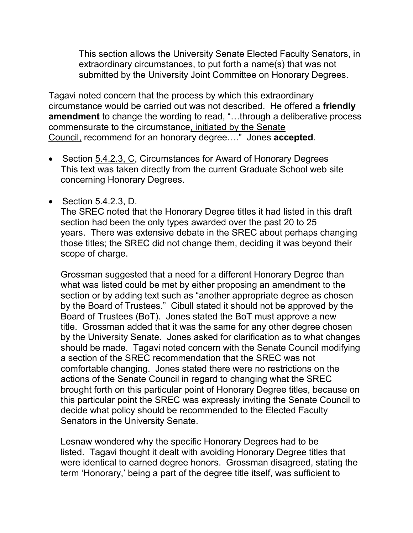This section allows the University Senate Elected Faculty Senators, in extraordinary circumstances, to put forth a name(s) that was not submitted by the University Joint Committee on Honorary Degrees.

Tagavi noted concern that the process by which this extraordinary circumstance would be carried out was not described. He offered a **friendly amendment** to change the wording to read, "…through a deliberative process commensurate to the circumstance, initiated by the Senate Council, recommend for an honorary degree…." Jones **accepted**.

- Section 5.4.2.3, C, Circumstances for Award of Honorary Degrees This text was taken directly from the current Graduate School web site concerning Honorary Degrees.
- Section 5.4.2.3, D.

The SREC noted that the Honorary Degree titles it had listed in this draft section had been the only types awarded over the past 20 to 25 years. There was extensive debate in the SREC about perhaps changing those titles; the SREC did not change them, deciding it was beyond their scope of charge.

Grossman suggested that a need for a different Honorary Degree than what was listed could be met by either proposing an amendment to the section or by adding text such as "another appropriate degree as chosen by the Board of Trustees." Cibull stated it should not be approved by the Board of Trustees (BoT). Jones stated the BoT must approve a new title. Grossman added that it was the same for any other degree chosen by the University Senate. Jones asked for clarification as to what changes should be made. Tagavi noted concern with the Senate Council modifying a section of the SREC recommendation that the SREC was not comfortable changing. Jones stated there were no restrictions on the actions of the Senate Council in regard to changing what the SREC brought forth on this particular point of Honorary Degree titles, because on this particular point the SREC was expressly inviting the Senate Council to decide what policy should be recommended to the Elected Faculty Senators in the University Senate.

Lesnaw wondered why the specific Honorary Degrees had to be listed. Tagavi thought it dealt with avoiding Honorary Degree titles that were identical to earned degree honors. Grossman disagreed, stating the term 'Honorary,' being a part of the degree title itself, was sufficient to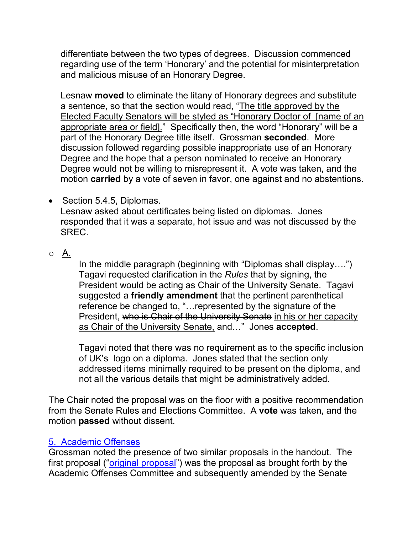differentiate between the two types of degrees. Discussion commenced regarding use of the term 'Honorary' and the potential for misinterpretation and malicious misuse of an Honorary Degree.

Lesnaw **moved** to eliminate the litany of Honorary degrees and substitute a sentence, so that the section would read, "The title approved by the Elected Faculty Senators will be styled as "Honorary Doctor of [name of an appropriate area or field]." Specifically then, the word "Honorary" will be a part of the Honorary Degree title itself. Grossman **seconded**. More discussion followed regarding possible inappropriate use of an Honorary Degree and the hope that a person nominated to receive an Honorary Degree would not be willing to misrepresent it. A vote was taken, and the motion **carried** by a vote of seven in favor, one against and no abstentions.

- Section 5.4.5, Diplomas. Lesnaw asked about certificates being listed on diplomas. Jones responded that it was a separate, hot issue and was not discussed by the SREC.
- o A.

In the middle paragraph (beginning with "Diplomas shall display….") Tagavi requested clarification in the *Rules* that by signing, the President would be acting as Chair of the University Senate. Tagavi suggested a **friendly amendment** that the pertinent parenthetical reference be changed to, "…represented by the signature of the President, who is Chair of the University Senate in his or her capacity as Chair of the University Senate, and…" Jones **accepted**.

Tagavi noted that there was no requirement as to the specific inclusion of UK's logo on a diploma. Jones stated that the section only addressed items minimally required to be present on the diploma, and not all the various details that might be administratively added.

The Chair noted the proposal was on the floor with a positive recommendation from the Senate Rules and Elections Committee. A **vote** was taken, and the motion **passed** without dissent.

### 5. [Academic Offenses](file://nemo.ad.uky.edu/senate/Senate%20Council/US%20Committees/US%20Comtes%202005-2006/Academic%20Offenses/prop_acad_offenses_SC_amended_11-21-05mtg.pdf)

Grossman noted the presence of two similar proposals in the handout. The first proposal (["original proposal"](http://www.uky.edu/USC/New/Comms/Programs/New%20Graduate%20Certificate%20in%20Anatomical%20Sciences.pdf)) was the proposal as brought forth by the Academic Offenses Committee and subsequently amended by the Senate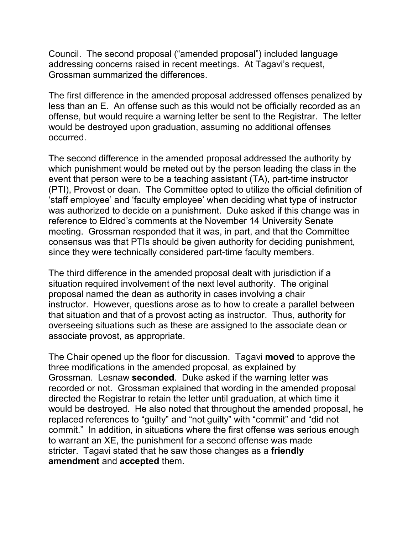Council. The second proposal ("amended proposal") included language addressing concerns raised in recent meetings. At Tagavi's request, Grossman summarized the differences.

The first difference in the amended proposal addressed offenses penalized by less than an E. An offense such as this would not be officially recorded as an offense, but would require a warning letter be sent to the Registrar. The letter would be destroyed upon graduation, assuming no additional offenses occurred.

The second difference in the amended proposal addressed the authority by which punishment would be meted out by the person leading the class in the event that person were to be a teaching assistant (TA), part-time instructor (PTI), Provost or dean. The Committee opted to utilize the official definition of 'staff employee' and 'faculty employee' when deciding what type of instructor was authorized to decide on a punishment. Duke asked if this change was in reference to Eldred's comments at the November 14 University Senate meeting. Grossman responded that it was, in part, and that the Committee consensus was that PTIs should be given authority for deciding punishment, since they were technically considered part-time faculty members.

The third difference in the amended proposal dealt with jurisdiction if a situation required involvement of the next level authority. The original proposal named the dean as authority in cases involving a chair instructor. However, questions arose as to how to create a parallel between that situation and that of a provost acting as instructor. Thus, authority for overseeing situations such as these are assigned to the associate dean or associate provost, as appropriate.

The Chair opened up the floor for discussion. Tagavi **moved** to approve the three modifications in the amended proposal, as explained by Grossman. Lesnaw **seconded**. Duke asked if the warning letter was recorded or not. Grossman explained that wording in the amended proposal directed the Registrar to retain the letter until graduation, at which time it would be destroyed. He also noted that throughout the amended proposal, he replaced references to "guilty" and "not guilty" with "commit" and "did not commit." In addition, in situations where the first offense was serious enough to warrant an XE, the punishment for a second offense was made stricter. Tagavi stated that he saw those changes as a **friendly amendment** and **accepted** them.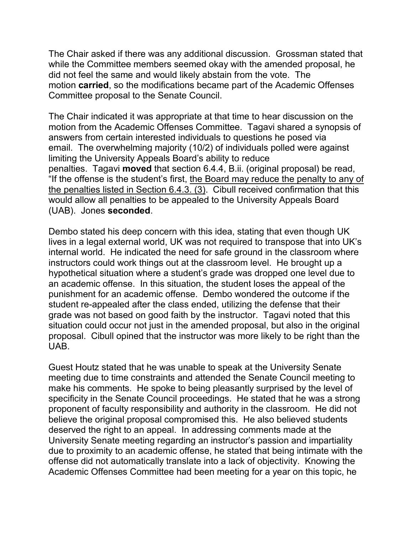The Chair asked if there was any additional discussion. Grossman stated that while the Committee members seemed okay with the amended proposal, he did not feel the same and would likely abstain from the vote. The motion **carried**, so the modifications became part of the Academic Offenses Committee proposal to the Senate Council.

The Chair indicated it was appropriate at that time to hear discussion on the motion from the Academic Offenses Committee. Tagavi shared a synopsis of answers from certain interested individuals to questions he posed via email. The overwhelming majority (10/2) of individuals polled were against limiting the University Appeals Board's ability to reduce penalties. Tagavi **moved** that section 6.4.4, B.ii. (original proposal) be read, "If the offense is the student's first, the Board may reduce the penalty to any of the penalties listed in Section 6.4.3. (3). Cibull received confirmation that this would allow all penalties to be appealed to the University Appeals Board (UAB). Jones **seconded**.

Dembo stated his deep concern with this idea, stating that even though UK lives in a legal external world, UK was not required to transpose that into UK's internal world. He indicated the need for safe ground in the classroom where instructors could work things out at the classroom level. He brought up a hypothetical situation where a student's grade was dropped one level due to an academic offense. In this situation, the student loses the appeal of the punishment for an academic offense. Dembo wondered the outcome if the student re-appealed after the class ended, utilizing the defense that their grade was not based on good faith by the instructor. Tagavi noted that this situation could occur not just in the amended proposal, but also in the original proposal. Cibull opined that the instructor was more likely to be right than the UAB.

Guest Houtz stated that he was unable to speak at the University Senate meeting due to time constraints and attended the Senate Council meeting to make his comments. He spoke to being pleasantly surprised by the level of specificity in the Senate Council proceedings. He stated that he was a strong proponent of faculty responsibility and authority in the classroom. He did not believe the original proposal compromised this. He also believed students deserved the right to an appeal. In addressing comments made at the University Senate meeting regarding an instructor's passion and impartiality due to proximity to an academic offense, he stated that being intimate with the offense did not automatically translate into a lack of objectivity. Knowing the Academic Offenses Committee had been meeting for a year on this topic, he